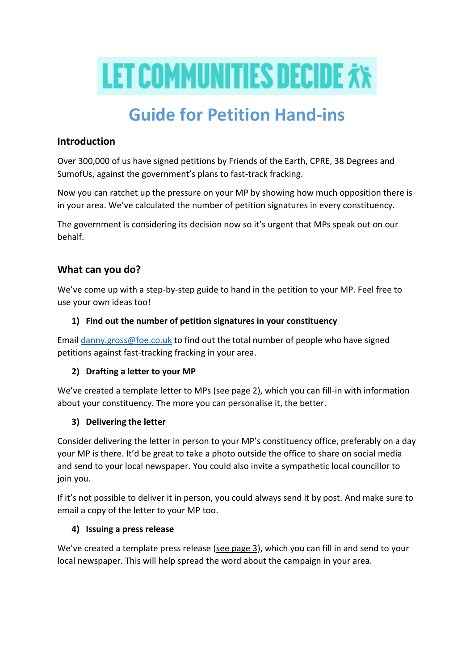

# **Guide for Petition Hand-ins**

# **Introduction**

Over 300,000 of us have signed petitions by Friends of the Earth, CPRE, 38 Degrees and SumofUs, against the government's plans to fast-track fracking.

Now you can ratchet up the pressure on your MP by showing how much opposition there is in your area. We've calculated the number of petition signatures in every constituency.

The government is considering its decision now so it's urgent that MPs speak out on our behalf.

# **What can you do?**

We've come up with a step-by-step guide to hand in the petition to your MP. Feel free to use your own ideas too!

## **1) Find out the number of petition signatures in your constituency**

Email [danny.gross@foe.co.uk](mailto:danny.gross@foe.co.uk) to find out the total number of people who have signed petitions against fast-tracking fracking in your area.

## **2) Drafting a letter to your MP**

We've created a template letter to MPs (see page 2), which you can fill-in with information about your constituency. The more you can personalise it, the better.

## **3) Delivering the letter**

Consider delivering the letter in person to your MP's constituency office, preferably on a day your MP is there. It'd be great to take a photo outside the office to share on social media and send to your local newspaper. You could also invite a sympathetic local councillor to join you.

If it's not possible to deliver it in person, you could always send it by post. And make sure to email a copy of the letter to your MP too.

## **4) Issuing a press release**

We've created a template press release (see page 3), which you can fill in and send to your local newspaper. This will help spread the word about the campaign in your area.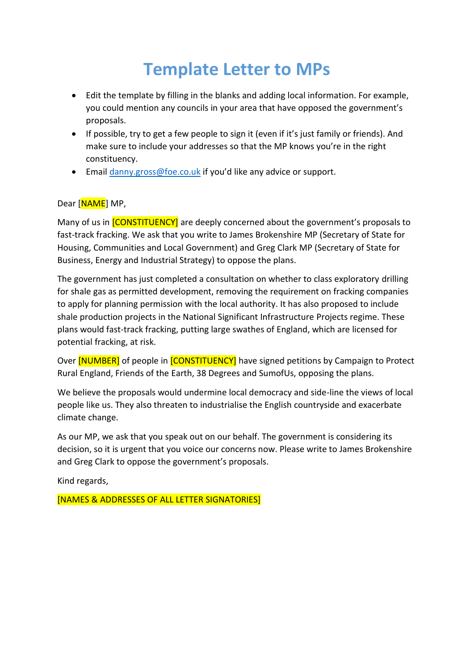# **Template Letter to MPs**

- Edit the template by filling in the blanks and adding local information. For example, you could mention any councils in your area that have opposed the government's proposals.
- If possible, try to get a few people to sign it (even if it's just family or friends). And make sure to include your addresses so that the MP knows you're in the right constituency.
- Email [danny.gross@foe.co.uk](mailto:danny.gross@foe.co.uk) if you'd like any advice or support.

## Dear [NAME] MP,

Many of us in **[CONSTITUENCY]** are deeply concerned about the government's proposals to fast-track fracking. We ask that you write to James Brokenshire MP (Secretary of State for Housing, Communities and Local Government) and Greg Clark MP (Secretary of State for Business, Energy and Industrial Strategy) to oppose the plans.

The government has just completed a consultation on whether to class exploratory drilling for shale gas as permitted development, removing the requirement on fracking companies to apply for planning permission with the local authority. It has also proposed to include shale production projects in the National Significant Infrastructure Projects regime. These plans would fast-track fracking, putting large swathes of England, which are licensed for potential fracking, at risk.

Over **[NUMBER]** of people in **[CONSTITUENCY]** have signed petitions by Campaign to Protect Rural England, Friends of the Earth, 38 Degrees and SumofUs, opposing the plans.

We believe the proposals would undermine local democracy and side-line the views of local people like us. They also threaten to industrialise the English countryside and exacerbate climate change.

As our MP, we ask that you speak out on our behalf. The government is considering its decision, so it is urgent that you voice our concerns now. Please write to James Brokenshire and Greg Clark to oppose the government's proposals.

Kind regards,

[NAMES & ADDRESSES OF ALL LETTER SIGNATORIES]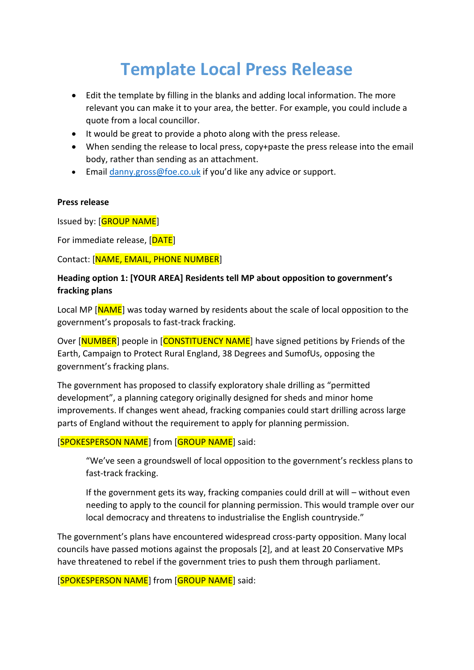# **Template Local Press Release**

- Edit the template by filling in the blanks and adding local information. The more relevant you can make it to your area, the better. For example, you could include a quote from a local councillor.
- It would be great to provide a photo along with the press release.
- When sending the release to local press, copy+paste the press release into the email body, rather than sending as an attachment.
- Email danny, gross@foe.co.uk if you'd like any advice or support.

#### **Press release**

Issued by: [GROUP NAME]

For immediate release, [DATE]

### Contact: [NAME, EMAIL, PHONE NUMBER]

## **Heading option 1: [YOUR AREA] Residents tell MP about opposition to government's fracking plans**

Local MP [NAME] was today warned by residents about the scale of local opposition to the government's proposals to fast-track fracking.

Over [NUMBER] people in [CONSTITUENCY NAME] have signed petitions by Friends of the Earth, Campaign to Protect Rural England, 38 Degrees and SumofUs, opposing the government's fracking plans.

The government has proposed to classify exploratory shale drilling as "permitted development", a planning category originally designed for sheds and minor home improvements. If changes went ahead, fracking companies could start drilling across large parts of England without the requirement to apply for planning permission.

### [SPOKESPERSON NAME] from [GROUP NAME] said:

"We've seen a groundswell of local opposition to the government's reckless plans to fast-track fracking.

If the government gets its way, fracking companies could drill at will – without even needing to apply to the council for planning permission. This would trample over our local democracy and threatens to industrialise the English countryside."

The government's plans have encountered widespread cross-party opposition. Many local councils have passed motions against the proposals [2], and at least 20 Conservative MPs have threatened to rebel if the government tries to push them through parliament.

**[SPOKESPERSON NAME]** from **[GROUP NAME**] said: